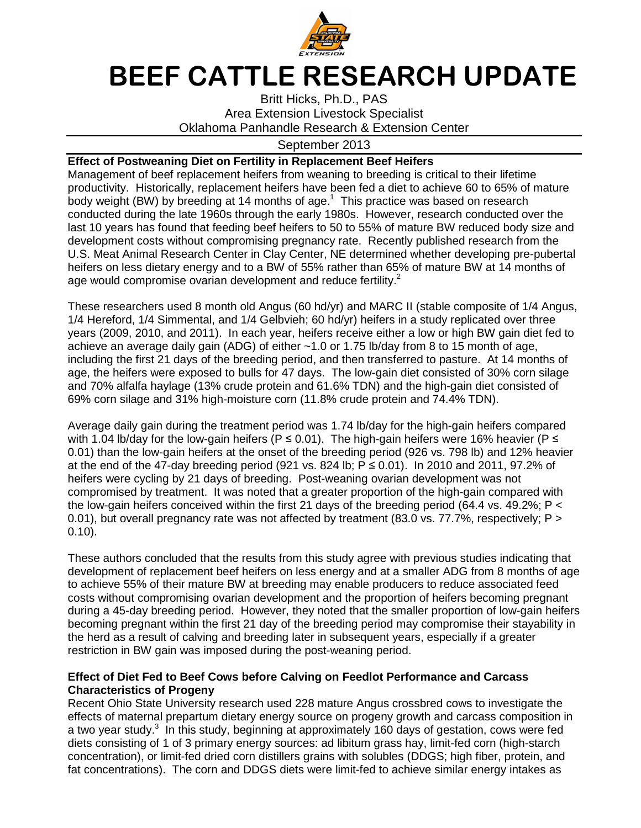

## **BEEF CATTLE RESEARCH UPDATE**

Britt Hicks, Ph.D., PAS Area Extension Livestock Specialist Oklahoma Panhandle Research & Extension Center

## September 2013

## **Effect of Postweaning Diet on Fertility in Replacement Beef Heifers**

Management of beef replacement heifers from weaning to breeding is critical to their lifetime productivity. Historically, replacement heifers have been fed a diet to achieve 60 to 65% of mature body weight (BW) by breeding at 14 months of age. $1$  This practice was based on research conducted during the late 1960s through the early 1980s. However, research conducted over the last 10 years has found that feeding beef heifers to 50 to 55% of mature BW reduced body size and development costs without compromising pregnancy rate. Recently published research from the U.S. Meat Animal Research Center in Clay Center, NE determined whether developing pre-pubertal heifers on less dietary energy and to a BW of 55% rather than 65% of mature BW at 14 months of age would compromise ovarian development and reduce fertility.<sup>2</sup>

These researchers used 8 month old Angus (60 hd/yr) and MARC II (stable composite of 1/4 Angus, 1/4 Hereford, 1/4 Simmental, and 1/4 Gelbvieh; 60 hd/yr) heifers in a study replicated over three years (2009, 2010, and 2011). In each year, heifers receive either a low or high BW gain diet fed to achieve an average daily gain (ADG) of either ~1.0 or 1.75 lb/day from 8 to 15 month of age, including the first 21 days of the breeding period, and then transferred to pasture. At 14 months of age, the heifers were exposed to bulls for 47 days. The low-gain diet consisted of 30% corn silage and 70% alfalfa haylage (13% crude protein and 61.6% TDN) and the high-gain diet consisted of 69% corn silage and 31% high-moisture corn (11.8% crude protein and 74.4% TDN).

Average daily gain during the treatment period was 1.74 lb/day for the high-gain heifers compared with 1.04 lb/day for the low-gain heifers (P  $\leq$  0.01). The high-gain heifers were 16% heavier (P  $\leq$ 0.01) than the low-gain heifers at the onset of the breeding period (926 vs. 798 lb) and 12% heavier at the end of the 47-day breeding period (921 vs. 824 lb;  $P \le 0.01$ ). In 2010 and 2011, 97.2% of heifers were cycling by 21 days of breeding. Post-weaning ovarian development was not compromised by treatment. It was noted that a greater proportion of the high-gain compared with the low-gain heifers conceived within the first 21 days of the breeding period (64.4 vs. 49.2%; P < 0.01), but overall pregnancy rate was not affected by treatment (83.0 vs. 77.7%, respectively; P > 0.10).

These authors concluded that the results from this study agree with previous studies indicating that development of replacement beef heifers on less energy and at a smaller ADG from 8 months of age to achieve 55% of their mature BW at breeding may enable producers to reduce associated feed costs without compromising ovarian development and the proportion of heifers becoming pregnant during a 45-day breeding period. However, they noted that the smaller proportion of low-gain heifers becoming pregnant within the first 21 day of the breeding period may compromise their stayability in the herd as a result of calving and breeding later in subsequent years, especially if a greater restriction in BW gain was imposed during the post-weaning period.

## **Effect of Diet Fed to Beef Cows before Calving on Feedlot Performance and Carcass Characteristics of Progeny**

Recent Ohio State University research used 228 mature Angus crossbred cows to investigate the effects of maternal prepartum dietary energy source on progeny growth and carcass composition in a two year study.<sup>3</sup> In this study, beginning at approximately 160 days of gestation, cows were fed diets consisting of 1 of 3 primary energy sources: ad libitum grass hay, limit-fed corn (high-starch concentration), or limit-fed dried corn distillers grains with solubles (DDGS; high fiber, protein, and fat concentrations). The corn and DDGS diets were limit-fed to achieve similar energy intakes as